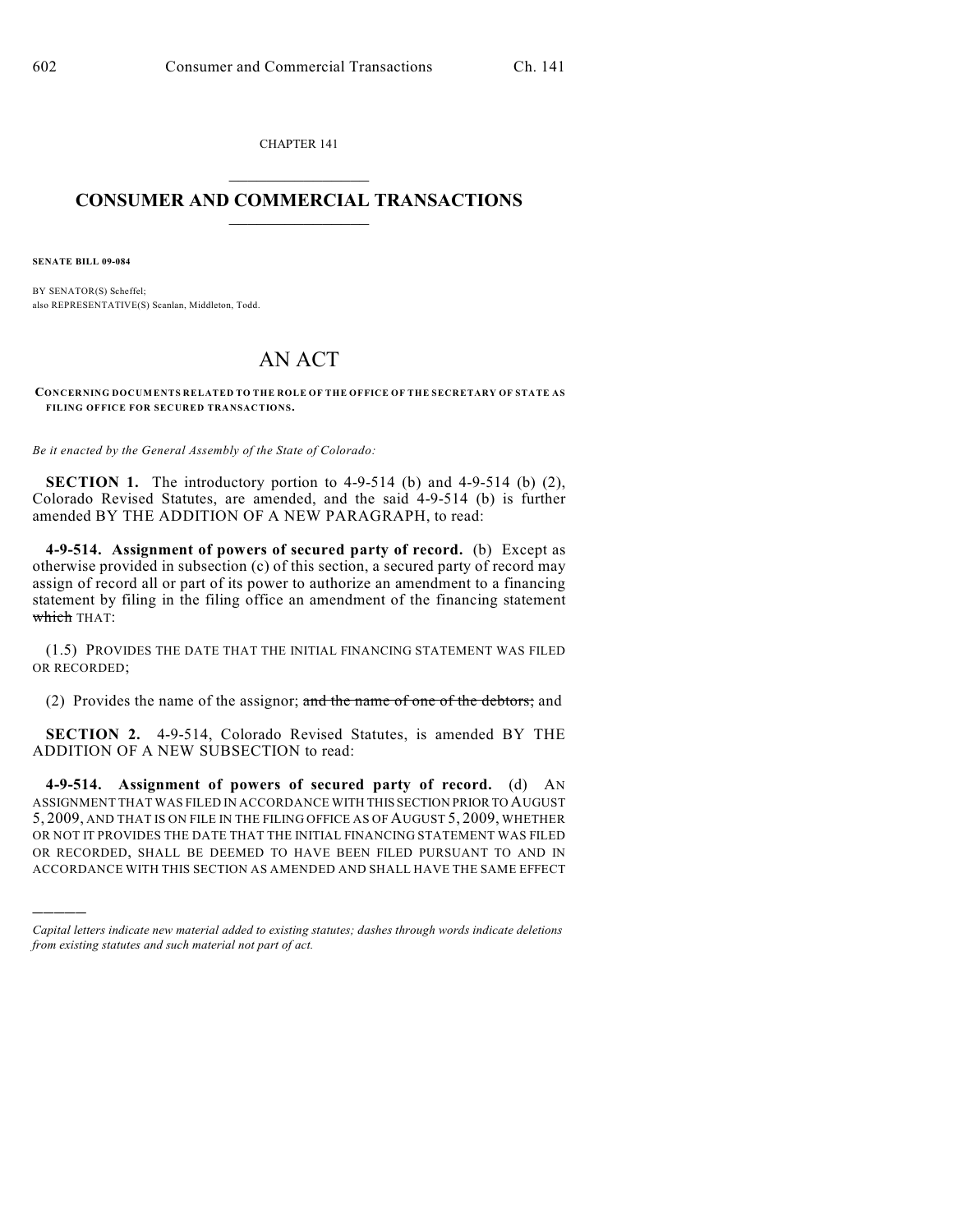CHAPTER 141  $\overline{\phantom{a}}$  . The set of the set of the set of the set of the set of the set of the set of the set of the set of the set of the set of the set of the set of the set of the set of the set of the set of the set of the set o

## **CONSUMER AND COMMERCIAL TRANSACTIONS**  $\frac{1}{2}$  ,  $\frac{1}{2}$  ,  $\frac{1}{2}$  ,  $\frac{1}{2}$  ,  $\frac{1}{2}$  ,  $\frac{1}{2}$

**SENATE BILL 09-084**

)))))

BY SENATOR(S) Scheffel; also REPRESENTATIVE(S) Scanlan, Middleton, Todd.

## AN ACT

**CONCERNING DOCUMENTS RELATED TO THE ROLE OF THE OFFICE OF THE SECRETARY OF STATE AS FILING OFFICE FOR SECURED TRANSACTIONS.**

*Be it enacted by the General Assembly of the State of Colorado:*

**SECTION 1.** The introductory portion to 4-9-514 (b) and 4-9-514 (b) (2), Colorado Revised Statutes, are amended, and the said 4-9-514 (b) is further amended BY THE ADDITION OF A NEW PARAGRAPH, to read:

**4-9-514. Assignment of powers of secured party of record.** (b) Except as otherwise provided in subsection (c) of this section, a secured party of record may assign of record all or part of its power to authorize an amendment to a financing statement by filing in the filing office an amendment of the financing statement which THAT:

(1.5) PROVIDES THE DATE THAT THE INITIAL FINANCING STATEMENT WAS FILED OR RECORDED;

(2) Provides the name of the assignor; and the name of one of the debtors; and

**SECTION 2.** 4-9-514, Colorado Revised Statutes, is amended BY THE ADDITION OF A NEW SUBSECTION to read:

**4-9-514. Assignment of powers of secured party of record.** (d) AN ASSIGNMENT THAT WAS FILED IN ACCORDANCE WITH THIS SECTION PRIOR TO AUGUST 5, 2009, AND THAT IS ON FILE IN THE FILING OFFICE AS OF AUGUST 5, 2009, WHETHER OR NOT IT PROVIDES THE DATE THAT THE INITIAL FINANCING STATEMENT WAS FILED OR RECORDED, SHALL BE DEEMED TO HAVE BEEN FILED PURSUANT TO AND IN ACCORDANCE WITH THIS SECTION AS AMENDED AND SHALL HAVE THE SAME EFFECT

*Capital letters indicate new material added to existing statutes; dashes through words indicate deletions from existing statutes and such material not part of act.*